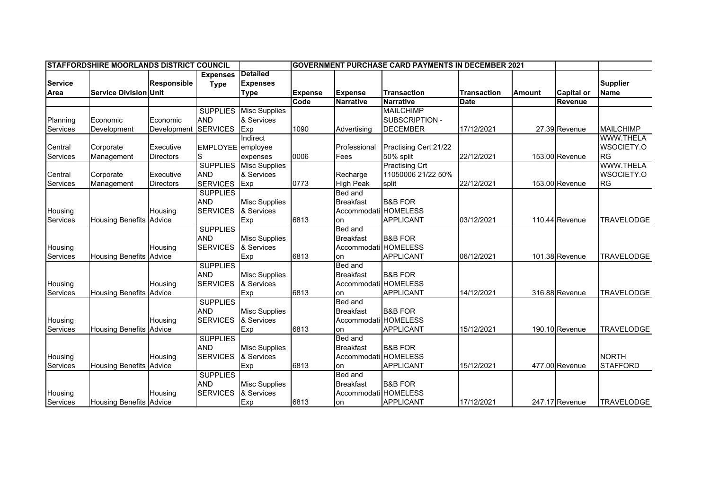| <b>ISTAFFORDSHIRE MOORLANDS DISTRICT COUNCIL</b> |                                |                    |                   |                               | <b>GOVERNMENT PURCHASE CARD PAYMENTS IN DECEMBER 2021</b> |                      |                       |                    |               |                   |                   |
|--------------------------------------------------|--------------------------------|--------------------|-------------------|-------------------------------|-----------------------------------------------------------|----------------------|-----------------------|--------------------|---------------|-------------------|-------------------|
|                                                  |                                |                    | <b>Expenses</b>   | <b>Detailed</b>               |                                                           |                      |                       |                    |               |                   |                   |
| <b>Service</b>                                   |                                | <b>Responsible</b> | <b>Type</b>       | <b>Expenses</b>               |                                                           |                      |                       |                    |               |                   | <b>Supplier</b>   |
| Area                                             | <b>Service Division Unit</b>   |                    |                   | <b>Type</b>                   | <b>Expense</b>                                            | <b>Expense</b>       | <b>Transaction</b>    | <b>Transaction</b> | <b>Amount</b> | <b>Capital or</b> | <b>Name</b>       |
|                                                  |                                |                    |                   |                               | Code                                                      | Narrative            | <b>Narrative</b>      | <b>Date</b>        |               | Revenue           |                   |
|                                                  |                                |                    | <b>SUPPLIES</b>   | <b>Misc Supplies</b>          |                                                           |                      | <b>MAILCHIMP</b>      |                    |               |                   |                   |
| Planning                                         | Economic                       | Economic           | <b>AND</b>        | & Services                    |                                                           |                      | SUBSCRIPTION -        |                    |               |                   |                   |
| Services                                         | Development                    | Development        | <b>SERVICES</b>   | Exp                           | 1090                                                      | Advertising          | <b>DECEMBER</b>       | 17/12/2021         |               | 27.39 Revenue     | <b>MAILCHIMP</b>  |
|                                                  |                                |                    |                   | Indirect                      |                                                           |                      |                       |                    |               |                   | <b>WWW.THELA</b>  |
| Central                                          | Corporate                      | Executive          | EMPLOYEE employee |                               |                                                           | Professional         | Practising Cert 21/22 |                    |               |                   | WSOCIETY.O        |
| Services                                         | Management                     | <b>Directors</b>   | S                 | expenses                      | 0006                                                      | Fees                 | 50% split             | 22/12/2021         |               | 153.00 Revenue    | <b>RG</b>         |
|                                                  |                                |                    |                   | <b>SUPPLIES</b> Misc Supplies |                                                           |                      | <b>Practising Crt</b> |                    |               |                   | <b>WWW.THELA</b>  |
| Central                                          | Corporate                      | Executive          | <b>AND</b>        | & Services                    |                                                           | Recharge             | 11050006 21/22 50%    |                    |               |                   | WSOCIETY.O        |
| Services                                         | Management                     | <b>Directors</b>   | <b>SERVICES</b>   | Exp                           | 0773                                                      | <b>High Peak</b>     | split                 | 22/12/2021         |               | 153.00 Revenue    | <b>RG</b>         |
|                                                  |                                |                    | <b>SUPPLIES</b>   |                               |                                                           | <b>Bed and</b>       |                       |                    |               |                   |                   |
|                                                  |                                |                    | <b>AND</b>        | <b>Misc Supplies</b>          |                                                           | <b>Breakfast</b>     | <b>B&amp;B FOR</b>    |                    |               |                   |                   |
| Housing                                          |                                | Housing            | <b>SERVICES</b>   | & Services                    |                                                           | Accommodati HOMELESS |                       |                    |               |                   |                   |
| Services                                         | <b>Housing Benefits</b>        | Advice             |                   | Exp                           | 6813                                                      | on                   | <b>APPLICANT</b>      | 03/12/2021         |               | 110.44 Revenue    | <b>TRAVELODGE</b> |
|                                                  |                                |                    | <b>SUPPLIES</b>   |                               |                                                           | Bed and              |                       |                    |               |                   |                   |
|                                                  |                                |                    | <b>AND</b>        | <b>Misc Supplies</b>          |                                                           | <b>Breakfast</b>     | <b>B&amp;B FOR</b>    |                    |               |                   |                   |
| Housing                                          |                                | Housing            | <b>SERVICES</b>   | & Services                    |                                                           | Accommodati HOMELESS |                       |                    |               |                   |                   |
| Services                                         | <b>Housing Benefits</b>        | Advice             |                   | Exp                           | 6813                                                      | on                   | <b>APPLICANT</b>      | 06/12/2021         |               | 101.38 Revenue    | <b>TRAVELODGE</b> |
|                                                  |                                |                    | <b>SUPPLIES</b>   |                               |                                                           | Bed and              |                       |                    |               |                   |                   |
|                                                  |                                |                    | <b>AND</b>        | <b>Misc Supplies</b>          |                                                           | <b>Breakfast</b>     | <b>B&amp;B FOR</b>    |                    |               |                   |                   |
| Housing                                          |                                | Housing            | <b>SERVICES</b>   | & Services                    |                                                           | Accommodati HOMELESS |                       |                    |               |                   |                   |
| <b>Services</b>                                  | Housing Benefits Advice        |                    |                   | Exp                           | 6813                                                      | on                   | <b>APPLICANT</b>      | 14/12/2021         |               | 316.88 Revenue    | <b>TRAVELODGE</b> |
|                                                  |                                |                    | <b>SUPPLIES</b>   |                               |                                                           | Bed and              |                       |                    |               |                   |                   |
|                                                  |                                |                    | <b>AND</b>        | <b>Misc Supplies</b>          |                                                           | <b>Breakfast</b>     | <b>B&amp;B FOR</b>    |                    |               |                   |                   |
| Housing                                          |                                | Housing            | <b>SERVICES</b>   | & Services                    |                                                           | Accommodati HOMELESS |                       |                    |               |                   |                   |
| <b>Services</b>                                  | Housing Benefits Advice        |                    |                   | Exp                           | 6813                                                      | on                   | <b>APPLICANT</b>      | 15/12/2021         |               | 190.10 Revenue    | <b>TRAVELODGE</b> |
|                                                  |                                |                    | <b>SUPPLIES</b>   |                               |                                                           | Bed and              |                       |                    |               |                   |                   |
|                                                  |                                |                    | <b>AND</b>        | <b>Misc Supplies</b>          |                                                           | <b>Breakfast</b>     | <b>B&amp;B FOR</b>    |                    |               |                   |                   |
| Housing                                          |                                | Housing            | <b>SERVICES</b>   | & Services                    |                                                           | Accommodati HOMELESS |                       |                    |               |                   | <b>NORTH</b>      |
| Services                                         | <b>Housing Benefits Advice</b> |                    |                   | Exp                           | 6813                                                      | on                   | <b>APPLICANT</b>      | 15/12/2021         |               | 477.00 Revenue    | <b>STAFFORD</b>   |
|                                                  |                                |                    | <b>SUPPLIES</b>   |                               |                                                           | Bed and              |                       |                    |               |                   |                   |
|                                                  |                                |                    | <b>AND</b>        | <b>Misc Supplies</b>          |                                                           | <b>Breakfast</b>     | <b>B&amp;B FOR</b>    |                    |               |                   |                   |
| Housing                                          |                                | Housing            | <b>SERVICES</b>   | & Services                    |                                                           | Accommodati HOMELESS |                       |                    |               |                   |                   |
| Services                                         | <b>Housing Benefits Advice</b> |                    |                   | Exp                           | 6813                                                      | on                   | <b>APPLICANT</b>      | 17/12/2021         |               | 247.17 Revenue    | <b>TRAVELODGE</b> |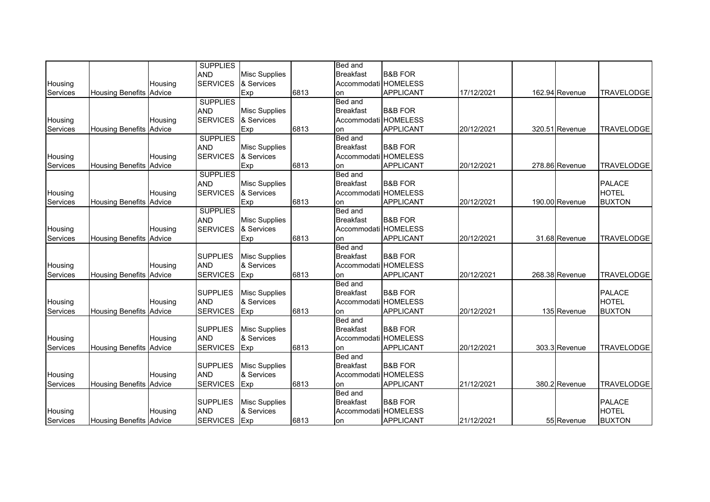|          |                                |         | <b>SUPPLIES</b> |                      |      | Bed and              |                    |            |                |                   |
|----------|--------------------------------|---------|-----------------|----------------------|------|----------------------|--------------------|------------|----------------|-------------------|
|          |                                |         | <b>AND</b>      | <b>Misc Supplies</b> |      | <b>Breakfast</b>     | <b>B&amp;B FOR</b> |            |                |                   |
| Housing  |                                | Housing | <b>SERVICES</b> | & Services           |      | Accommodati HOMELESS |                    |            |                |                   |
| Services | <b>Housing Benefits Advice</b> |         |                 | Exp                  | 6813 | on                   | <b>APPLICANT</b>   | 17/12/2021 | 162.94 Revenue | <b>TRAVELODGE</b> |
|          |                                |         | <b>SUPPLIES</b> |                      |      | <b>Bed and</b>       |                    |            |                |                   |
|          |                                |         | <b>AND</b>      | <b>Misc Supplies</b> |      | <b>Breakfast</b>     | <b>B&amp;B FOR</b> |            |                |                   |
| Housing  |                                | Housing | <b>SERVICES</b> | & Services           |      | Accommodati HOMELESS |                    |            |                |                   |
| Services | <b>Housing Benefits</b>        | Advice  |                 | Exp                  | 6813 | on                   | <b>APPLICANT</b>   | 20/12/2021 | 320.51 Revenue | <b>TRAVELODGE</b> |
|          |                                |         | <b>SUPPLIES</b> |                      |      | Bed and              |                    |            |                |                   |
|          |                                |         | <b>AND</b>      | <b>Misc Supplies</b> |      | <b>Breakfast</b>     | <b>B&amp;B FOR</b> |            |                |                   |
| Housing  |                                | Housing | <b>SERVICES</b> | & Services           |      | Accommodati HOMELESS |                    |            |                |                   |
| Services | <b>Housing Benefits Advice</b> |         |                 | Exp                  | 6813 | on                   | <b>APPLICANT</b>   | 20/12/2021 | 278.86 Revenue | <b>TRAVELODGE</b> |
|          |                                |         | <b>SUPPLIES</b> |                      |      | Bed and              |                    |            |                |                   |
|          |                                |         | <b>AND</b>      | <b>Misc Supplies</b> |      | <b>Breakfast</b>     | <b>B&amp;B FOR</b> |            |                | <b>PALACE</b>     |
| Housing  |                                | Housing | <b>SERVICES</b> | & Services           |      | Accommodati HOMELESS |                    |            |                | <b>HOTEL</b>      |
| Services | <b>Housing Benefits Advice</b> |         |                 | Exp                  | 6813 | on                   | <b>APPLICANT</b>   | 20/12/2021 | 190.00 Revenue | <b>BUXTON</b>     |
|          |                                |         | <b>SUPPLIES</b> |                      |      | Bed and              |                    |            |                |                   |
|          |                                |         | <b>AND</b>      | <b>Misc Supplies</b> |      | <b>Breakfast</b>     | <b>B&amp;B FOR</b> |            |                |                   |
| Housing  |                                | Housing | <b>SERVICES</b> | & Services           |      | Accommodati HOMELESS |                    |            |                |                   |
| Services | <b>Housing Benefits</b>        | Advice  |                 | Exp                  | 6813 | on                   | <b>APPLICANT</b>   | 20/12/2021 | 31.68 Revenue  | <b>TRAVELODGE</b> |
|          |                                |         |                 |                      |      | Bed and              |                    |            |                |                   |
|          |                                |         | <b>SUPPLIES</b> | <b>Misc Supplies</b> |      | <b>Breakfast</b>     | <b>B&amp;B FOR</b> |            |                |                   |
| Housing  |                                | Housing | <b>AND</b>      | & Services           |      | Accommodati HOMELESS |                    |            |                |                   |
| Services | <b>Housing Benefits Advice</b> |         | <b>SERVICES</b> | Exp                  | 6813 | on                   | <b>APPLICANT</b>   | 20/12/2021 | 268.38 Revenue | <b>TRAVELODGE</b> |
|          |                                |         |                 |                      |      | Bed and              |                    |            |                |                   |
|          |                                |         | <b>SUPPLIES</b> | <b>Misc Supplies</b> |      | <b>Breakfast</b>     | <b>B&amp;B FOR</b> |            |                | <b>PALACE</b>     |
| Housing  |                                | Housing | <b>AND</b>      | & Services           |      | Accommodati HOMELESS |                    |            |                | <b>HOTEL</b>      |
| Services | <b>Housing Benefits Advice</b> |         | <b>SERVICES</b> | Exp                  | 6813 | on                   | <b>APPLICANT</b>   | 20/12/2021 | 135 Revenue    | <b>BUXTON</b>     |
|          |                                |         |                 |                      |      | Bed and              |                    |            |                |                   |
|          |                                |         | <b>SUPPLIES</b> | <b>Misc Supplies</b> |      | <b>Breakfast</b>     | <b>B&amp;B FOR</b> |            |                |                   |
| Housing  |                                | Housing | <b>AND</b>      | & Services           |      | Accommodati HOMELESS |                    |            |                |                   |
| Services | <b>Housing Benefits Advice</b> |         | <b>SERVICES</b> | Exp                  | 6813 | on                   | <b>APPLICANT</b>   | 20/12/2021 | 303.3 Revenue  | <b>TRAVELODGE</b> |
|          |                                |         |                 |                      |      | Bed and              |                    |            |                |                   |
|          |                                |         | <b>SUPPLIES</b> | <b>Misc Supplies</b> |      | <b>Breakfast</b>     | <b>B&amp;B FOR</b> |            |                |                   |
| Housing  |                                | Housing | <b>AND</b>      | & Services           |      | Accommodati HOMELESS |                    |            |                |                   |
| Services | <b>Housing Benefits Advice</b> |         | <b>SERVICES</b> | Exp                  | 6813 | on                   | <b>APPLICANT</b>   | 21/12/2021 | 380.2 Revenue  | <b>TRAVELODGE</b> |
|          |                                |         |                 |                      |      | Bed and              |                    |            |                |                   |
|          |                                |         | <b>SUPPLIES</b> | <b>Misc Supplies</b> |      | <b>Breakfast</b>     | <b>B&amp;B FOR</b> |            |                | <b>PALACE</b>     |
| Housing  |                                | Housing | <b>AND</b>      | & Services           |      | Accommodati HOMELESS |                    |            |                | <b>HOTEL</b>      |
| Services | <b>Housing Benefits Advice</b> |         | <b>SERVICES</b> | Exp                  | 6813 | on                   | <b>APPLICANT</b>   | 21/12/2021 | 55 Revenue     | <b>BUXTON</b>     |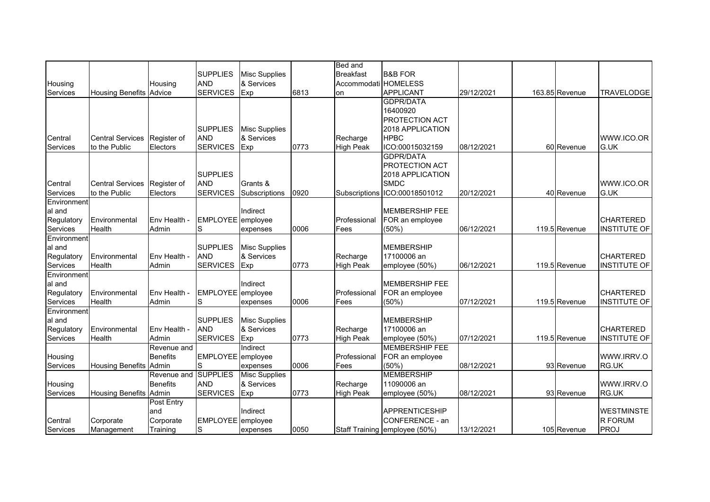|             |                               |                 |                   |                      |      | <b>Bed and</b>       |                               |            |                |                     |
|-------------|-------------------------------|-----------------|-------------------|----------------------|------|----------------------|-------------------------------|------------|----------------|---------------------|
|             |                               |                 | <b>SUPPLIES</b>   | <b>Misc Supplies</b> |      | <b>Breakfast</b>     | <b>B&amp;B FOR</b>            |            |                |                     |
| Housing     |                               | Housing         | <b>AND</b>        | & Services           |      | Accommodati HOMELESS |                               |            |                |                     |
| Services    | <b>Housing Benefits</b>       | Advice          | <b>SERVICES</b>   | Exp                  | 6813 | on                   | <b>APPLICANT</b>              | 29/12/2021 | 163.85 Revenue | <b>TRAVELODGE</b>   |
|             |                               |                 |                   |                      |      |                      | <b>GDPR/DATA</b>              |            |                |                     |
|             |                               |                 |                   |                      |      |                      | 16400920                      |            |                |                     |
|             |                               |                 |                   |                      |      |                      | PROTECTION ACT                |            |                |                     |
|             |                               |                 | <b>SUPPLIES</b>   | <b>Misc Supplies</b> |      |                      | 2018 APPLICATION              |            |                |                     |
| Central     | <b>Central Services</b>       | Register of     | <b>AND</b>        | & Services           |      | Recharge             | <b>HPBC</b>                   |            |                | WWW.ICO.OR          |
| Services    | to the Public                 | Electors        | <b>SERVICES</b>   | Exp                  | 0773 | <b>High Peak</b>     | ICO:00015032159               | 08/12/2021 | 60 Revenue     | G.UK                |
|             |                               |                 |                   |                      |      |                      | <b>GDPR/DATA</b>              |            |                |                     |
|             |                               |                 |                   |                      |      |                      | PROTECTION ACT                |            |                |                     |
|             |                               |                 |                   |                      |      |                      |                               |            |                |                     |
|             |                               |                 | <b>SUPPLIES</b>   |                      |      |                      | 2018 APPLICATION              |            |                |                     |
| Central     | <b>Central Services</b>       | Register of     | <b>AND</b>        | Grants &             |      |                      | <b>SMDC</b>                   |            |                | WWW.ICO.OR          |
| Services    | to the Public                 | Electors        | <b>SERVICES</b>   | Subscriptions        | 0920 |                      | Subscriptions ICO:00018501012 | 20/12/2021 | 40 Revenue     | G.UK                |
| Environment |                               |                 |                   |                      |      |                      |                               |            |                |                     |
| al and      |                               |                 |                   | Indirect             |      |                      | <b>MEMBERSHIP FEE</b>         |            |                |                     |
| Regulatory  | Environmental                 | Env Health -    | EMPLOYEE employee |                      |      | Professional         | FOR an employee               |            |                | <b>CHARTERED</b>    |
| Services    | Health                        | Admin           | S                 | expenses             | 0006 | Fees                 | $(50\%)$                      | 06/12/2021 | 119.5 Revenue  | <b>INSTITUTE OF</b> |
| Environment |                               |                 |                   |                      |      |                      |                               |            |                |                     |
| al and      |                               |                 | <b>SUPPLIES</b>   | <b>Misc Supplies</b> |      |                      | <b>MEMBERSHIP</b>             |            |                |                     |
| Regulatory  | Environmental                 | Env Health -    | <b>AND</b>        | & Services           |      | Recharge             | 17100006 an                   |            |                | <b>CHARTERED</b>    |
| Services    | Health                        | Admin           | <b>SERVICES</b>   | Exp                  | 0773 | <b>High Peak</b>     | employee (50%)                | 06/12/2021 | 119.5 Revenue  | <b>INSTITUTE OF</b> |
| Environment |                               |                 |                   |                      |      |                      |                               |            |                |                     |
| al and      |                               |                 |                   | Indirect             |      |                      | <b>MEMBERSHIP FEE</b>         |            |                |                     |
| Regulatory  | Environmental                 | Env Health -    | EMPLOYEE employee |                      |      | Professional         | FOR an employee               |            |                | <b>CHARTERED</b>    |
| Services    | Health                        | Admin           | S                 | expenses             | 0006 | Fees                 | (50%                          | 07/12/2021 | 119.5 Revenue  | <b>INSTITUTE OF</b> |
| Environment |                               |                 |                   |                      |      |                      |                               |            |                |                     |
| al and      |                               |                 | <b>SUPPLIES</b>   | <b>Misc Supplies</b> |      |                      | <b>MEMBERSHIP</b>             |            |                |                     |
| Regulatory  | Environmental                 | Env Health -    | <b>AND</b>        | & Services           |      | Recharge             | 17100006 an                   |            |                | <b>CHARTERED</b>    |
| Services    | Health                        | Admin           | <b>SERVICES</b>   | Exp                  | 0773 | <b>High Peak</b>     | employee (50%)                | 07/12/2021 | 119.5 Revenue  | <b>INSTITUTE OF</b> |
|             |                               | Revenue and     |                   | Indirect             |      |                      | <b>MEMBERSHIP FEE</b>         |            |                |                     |
| Housing     |                               | <b>Benefits</b> | EMPLOYEE employee |                      |      | Professional         | FOR an employee               |            |                | WWW.IRRV.O          |
| Services    | <b>Housing Benefits Admin</b> |                 | S                 | expenses             | 0006 | Fees                 | (50%)                         | 08/12/2021 | 93 Revenue     | RG.UK               |
|             |                               | Revenue and     | <b>SUPPLIES</b>   | <b>Misc Supplies</b> |      |                      | <b>MEMBERSHIP</b>             |            |                |                     |
| Housing     |                               | <b>Benefits</b> | <b>AND</b>        | & Services           |      | Recharge             | 11090006 an                   |            |                | WWW.IRRV.O          |
| Services    | <b>Housing Benefits</b>       | Admin           | <b>SERVICES</b>   | Exp                  | 0773 | <b>High Peak</b>     | employee (50%)                | 08/12/2021 | 93 Revenue     | RG.UK               |
|             |                               | Post Entry      |                   |                      |      |                      |                               |            |                |                     |
|             |                               | and             |                   | Indirect             |      |                      | <b>APPRENTICESHIP</b>         |            |                | <b>WESTMINSTE</b>   |
| Central     | Corporate                     | Corporate       | EMPLOYEE employee |                      |      |                      | CONFERENCE - an               |            |                | R FORUM             |
| Services    | Management                    | Training        | S                 | expenses             | 0050 |                      | Staff Training employee (50%) | 13/12/2021 | 105 Revenue    | <b>PROJ</b>         |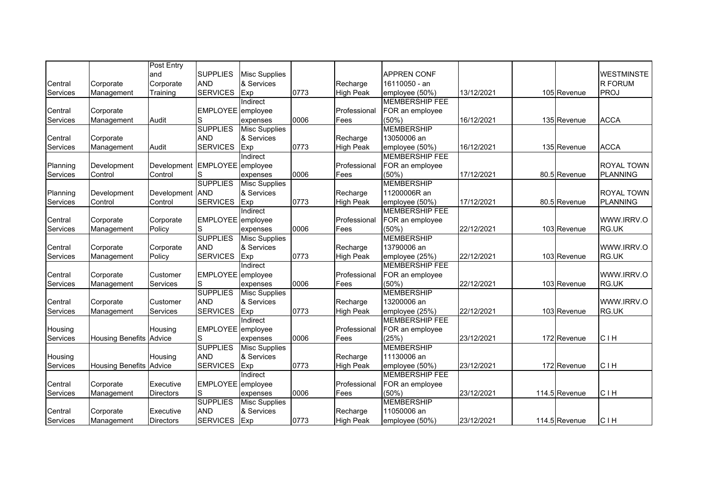|                 |                                | Post Entry       |                   |                      |      |                  |                       |            |               |                   |
|-----------------|--------------------------------|------------------|-------------------|----------------------|------|------------------|-----------------------|------------|---------------|-------------------|
|                 |                                | and              | <b>SUPPLIES</b>   | <b>Misc Supplies</b> |      |                  | <b>APPREN CONF</b>    |            |               | <b>WESTMINSTE</b> |
| Central         | Corporate                      | Corporate        | <b>AND</b>        | & Services           |      | Recharge         | 16110050 - an         |            |               | R FORUM           |
| <b>Services</b> | Management                     | Training         | <b>SERVICES</b>   | Exp                  | 0773 | <b>High Peak</b> | employee (50%)        | 13/12/2021 | 105 Revenue   | <b>PROJ</b>       |
|                 |                                |                  |                   | Indirect             |      |                  | <b>MEMBERSHIP FEE</b> |            |               |                   |
| Central         | Corporate                      |                  | EMPLOYEE employee |                      |      | Professional     | FOR an employee       |            |               |                   |
| Services        | Management                     | Audit            | S                 | expenses             | 0006 | Fees             | (50%                  | 16/12/2021 | 135 Revenue   | <b>ACCA</b>       |
|                 |                                |                  | <b>SUPPLIES</b>   | <b>Misc Supplies</b> |      |                  | <b>MEMBERSHIP</b>     |            |               |                   |
| Central         | Corporate                      |                  | <b>AND</b>        | & Services           |      | Recharge         | 13050006 an           |            |               |                   |
| Services        | Management                     | Audit            | <b>SERVICES</b>   | Exp                  | 0773 | <b>High Peak</b> | employee (50%)        | 16/12/2021 | 135 Revenue   | <b>ACCA</b>       |
|                 |                                |                  |                   | Indirect             |      |                  | <b>MEMBERSHIP FEE</b> |            |               |                   |
|                 | Development                    | Development      | EMPLOYEE employee |                      |      | Professional     |                       |            |               | <b>ROYAL TOWN</b> |
| Planning        |                                |                  |                   |                      |      |                  | FOR an employee       |            |               |                   |
| Services        | Control                        | Control          | S                 | expenses             | 0006 | Fees             | (50%                  | 17/12/2021 | 80.5 Revenue  | <b>PLANNING</b>   |
|                 |                                |                  | <b>SUPPLIES</b>   | Misc Supplies        |      |                  | <b>MEMBERSHIP</b>     |            |               |                   |
| Planning        | Development                    | Development      | <b>AND</b>        | & Services           |      | Recharge         | 11200006R an          |            |               | <b>ROYAL TOWN</b> |
| Services        | Control                        | Control          | <b>SERVICES</b>   | Exp                  | 0773 | <b>High Peak</b> | employee (50%)        | 17/12/2021 | 80.5 Revenue  | <b>PLANNING</b>   |
|                 |                                |                  |                   | Indirect             |      |                  | <b>MEMBERSHIP FEE</b> |            |               |                   |
| Central         | Corporate                      | Corporate        | EMPLOYEE employee |                      |      | Professional     | FOR an employee       |            |               | WWW.IRRV.O        |
| Services        | Management                     | Policy           | S                 | expenses             | 0006 | Fees             | (50%)                 | 22/12/2021 | 103 Revenue   | RG.UK             |
|                 |                                |                  | <b>SUPPLIES</b>   | <b>Misc Supplies</b> |      |                  | <b>MEMBERSHIP</b>     |            |               |                   |
| Central         | Corporate                      | Corporate        | <b>AND</b>        | & Services           |      | Recharge         | 13790006 an           |            |               | WWW.IRRV.O        |
| Services        | Management                     | Policy           | <b>SERVICES</b>   | Exp                  | 0773 | <b>High Peak</b> | employee (25%)        | 22/12/2021 | 103 Revenue   | RG.UK             |
|                 |                                |                  |                   | Indirect             |      |                  | <b>MEMBERSHIP FEE</b> |            |               |                   |
| Central         | Corporate                      | Customer         | EMPLOYEE employee |                      |      | Professional     | FOR an employee       |            |               | WWW.IRRV.O        |
| Services        | Management                     | <b>Services</b>  | S                 | expenses             | 0006 | Fees             | (50%                  | 22/12/2021 | 103 Revenue   | RG.UK             |
|                 |                                |                  | <b>SUPPLIES</b>   | <b>Misc Supplies</b> |      |                  | <b>MEMBERSHIP</b>     |            |               |                   |
| Central         | Corporate                      | Customer         | <b>AND</b>        | & Services           |      | Recharge         | 13200006 an           |            |               | WWW.IRRV.O        |
| Services        | Management                     | Services         | <b>SERVICES</b>   | Exp                  | 0773 | <b>High Peak</b> | employee (25%)        | 22/12/2021 | 103 Revenue   | RG.UK             |
|                 |                                |                  |                   | Indirect             |      |                  | <b>MEMBERSHIP FEE</b> |            |               |                   |
| Housing         |                                | Housing          | EMPLOYEE employee |                      |      | Professional     | FOR an employee       |            |               |                   |
| Services        | <b>Housing Benefits</b>        | Advice           | S                 | expenses             | 0006 | Fees             | (25%)                 | 23/12/2021 | 172 Revenue   | <b>CIH</b>        |
|                 |                                |                  | <b>SUPPLIES</b>   | <b>Misc Supplies</b> |      |                  | <b>MEMBERSHIP</b>     |            |               |                   |
| Housing         |                                | Housing          | <b>AND</b>        | & Services           |      | Recharge         | 11130006 an           |            |               |                   |
| Services        | <b>Housing Benefits Advice</b> |                  | <b>SERVICES</b>   | Exp                  | 0773 | <b>High Peak</b> | employee (50%)        | 23/12/2021 | 172 Revenue   | <b>CIH</b>        |
|                 |                                |                  |                   | Indirect             |      |                  | <b>MEMBERSHIP FEE</b> |            |               |                   |
| Central         |                                | Executive        | EMPLOYEE employee |                      |      | Professional     |                       |            |               |                   |
|                 | Corporate                      |                  |                   |                      |      |                  | FOR an employee       |            |               |                   |
| Services        | Management                     | <b>Directors</b> | S                 | expenses             | 0006 | Fees             | (50%                  | 23/12/2021 | 114.5 Revenue | <b>CIH</b>        |
|                 |                                |                  | <b>SUPPLIES</b>   | <b>Misc Supplies</b> |      |                  | <b>MEMBERSHIP</b>     |            |               |                   |
| Central         | Corporate                      | Executive        | <b>AND</b>        | & Services           |      | Recharge         | 11050006 an           |            |               |                   |
| Services        | Management                     | <b>Directors</b> | SERVICES Exp      |                      | 0773 | <b>High Peak</b> | employee (50%)        | 23/12/2021 | 114.5 Revenue | <b>CIH</b>        |